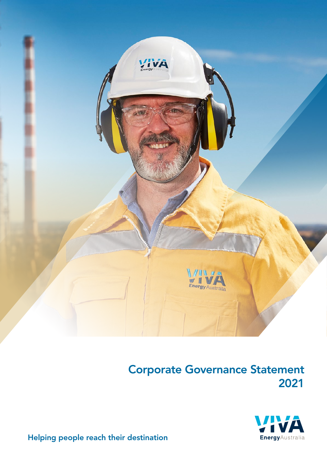



Helping people reach their destination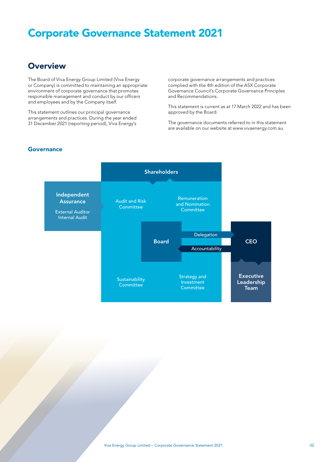### **Overview**

The Board of Viva Energy Group Limited (Viva Energy or Company) is committed to maintaining an appropriate environment of corporate governance that promotes responsible management and conduct by our officers and employees and by the Company itself.

This statement outlines our principal governance arrangements and practices. During the year ended 31 December 2021 (reporting period), Viva Energy's corporate governance arrangements and practices complied with the 4th edition of the ASX Corporate Governance Council's Corporate Governance Principles and Recommendations.

This statement is current as at 17 March 2022 and has been approved by the Board.

The governance documents referred to in this statement are available on our website at [www.vivaenergy.com.au](https://www.vivaenergy.com.au/).

### **Governance**

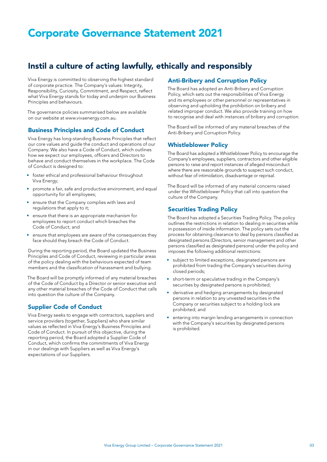## Instil a culture of acting lawfully, ethically and responsibly

Viva Energy is committed to observing the highest standard of corporate practice. The Company's values: Integrity, Responsibility, Curiosity, Commitment, and Respect, reflect what Viva Energy stands for today and underpin our Business Principles and behaviours.

The governance policies summarised below are available on our website at [www.vivaenergy.com.au](https://www.vivaenergy.com.au/).

### Business Principles and Code of Conduct

Viva Energy has long-standing Business Principles that reflect our core values and guide the conduct and operations of our Company. We also have a Code of Conduct, which outlines how we expect our employees, officers and Directors to behave and conduct themselves in the workplace. The Code of Conduct is designed to:

- foster ethical and professional behaviour throughout Viva Energy;
- promote a fair, safe and productive environment, and equal opportunity for all employees;
- ensure that the Company complies with laws and regulations that apply to it;
- ensure that there is an appropriate mechanism for employees to report conduct which breaches the Code of Conduct; and
- ensure that employees are aware of the consequences they face should they breach the Code of Conduct.

During the reporting period, the Board updated the Business Principles and Code of Conduct, reviewing in particular areas of the policy dealing with the behaviours expected of team members and the classification of harassment and bullying.

The Board will be promptly informed of any material breaches of the Code of Conduct by a Director or senior executive and any other material breaches of the Code of Conduct that calls into question the culture of the Company.

### Supplier Code of Conduct

Viva Energy seeks to engage with contractors, suppliers and service providers (together, Suppliers) who share similar values as reflected in Viva Energy's Business Principles and Code of Conduct. In pursuit of this objective, during the reporting period, the Board adopted a Supplier Code of Conduct, which confirms the commitments of Viva Energy in our dealings with Suppliers as well as Viva Energy's expectations of our Suppliers.

### Anti-Bribery and Corruption Policy

The Board has adopted an Anti-Bribery and Corruption Policy, which sets out the responsibilities of Viva Energy and its employees or other personnel or representatives in observing and upholding the prohibition on bribery and related improper conduct. We also provide training on how to recognise and deal with instances of bribery and corruption.

The Board will be informed of any material breaches of the Anti-Bribery and Corruption Policy.

### Whistleblower Policy

The Board has adopted a Whistleblower Policy to encourage the Company's employees, suppliers, contractors and other eligible persons to raise and report instances of alleged misconduct where there are reasonable grounds to suspect such conduct, without fear of intimidation, disadvantage or reprisal.

The Board will be informed of any material concerns raised under the Whistleblower Policy that call into question the culture of the Company.

### Securities Trading Policy

The Board has adopted a Securities Trading Policy. The policy outlines the restrictions in relation to dealing in securities while in possession of inside information. The policy sets out the process for obtaining clearance to deal by persons classified as designated persons (Directors, senior management and other persons classified as designated persons) under the policy and imposes the following additional restrictions:

- subject to limited exceptions, designated persons are prohibited from trading the Company's securities during closed periods;
- short-term or speculative trading in the Company's securities by designated persons is prohibited;
- derivative and hedging arrangements by designated persons in relation to any unvested securities in the Company or securities subject to a holding lock are prohibited; and
- entering into margin lending arrangements in connection with the Company's securities by designated persons is prohibited.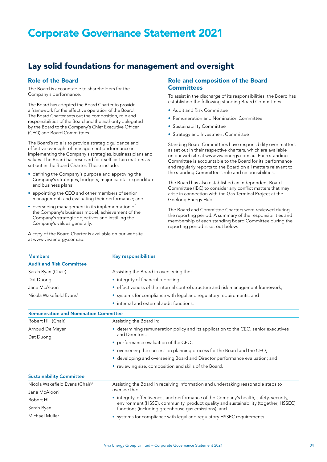## Lay solid foundations for management and oversight

### Role of the Board

The Board is accountable to shareholders for the Company's performance.

The Board has adopted the Board Charter to provide a framework for the effective operation of the Board. The Board Charter sets out the composition, role and responsibilities of the Board and the authority delegated by the Board to the Company's Chief Executive Officer (CEO) and Board Committees.

The Board's role is to provide strategic guidance and effective oversight of management performance in implementing the Company's strategies, business plans and values. The Board has reserved for itself certain matters as set out in the Board Charter. These include:

- defining the Company's purpose and approving the Company's strategies, budgets, major capital expenditure and business plans;
- appointing the CEO and other members of senior management, and evaluating their performance; and
- overseeing management in its implementation of the Company's business model, achievement of the Company's strategic objectives and instilling the Company's values generally.

A copy of the Board Charter is available on our website at [www.vivaenergy.com.au.](https://www.vivaenergy.com.au/)

### Role and composition of the Board **Committees**

To assist in the discharge of its responsibilities, the Board has established the following standing Board Committees:

- Audit and Risk Committee
- Remuneration and Nomination Committee
- Sustainability Committee
- Strategy and Investment Committee

Standing Board Committees have responsibility over matters as set out in their respective charters, which are available on our website at [www.vivaenergy.com.au](https://www.vivaenergy.com.au/). Each standing Committee is accountable to the Board for its performance and regularly reports to the Board on all matters relevant to the standing Committee's role and responsibilities.

The Board has also established an Independent Board Committee (IBC) to consider any conflict matters that may arise in connection with the Gas Terminal Project at the Geelong Energy Hub.

The Board and Committee Charters were reviewed during the reporting period. A summary of the responsibilities and membership of each standing Board Committee during the reporting period is set out below.

| <b>Members</b>                               | <b>Key responsibilities</b>                                                                                                                                                  |  |
|----------------------------------------------|------------------------------------------------------------------------------------------------------------------------------------------------------------------------------|--|
| <b>Audit and Risk Committee</b>              |                                                                                                                                                                              |  |
| Sarah Ryan (Chair)                           | Assisting the Board in overseeing the:                                                                                                                                       |  |
| Dat Duong                                    | • integrity of financial reporting;                                                                                                                                          |  |
| Jane McAloon <sup>1</sup>                    | • effectiveness of the internal control structure and risk management framework;                                                                                             |  |
| Nicola Wakefield Evans <sup>2</sup>          | • systems for compliance with legal and regulatory requirements; and                                                                                                         |  |
|                                              | • internal and external audit functions.                                                                                                                                     |  |
| <b>Remuneration and Nomination Committee</b> |                                                                                                                                                                              |  |
| Robert Hill (Chair)                          | Assisting the Board in:                                                                                                                                                      |  |
| Arnoud De Meyer                              | • determining remuneration policy and its application to the CEO, senior executives                                                                                          |  |
| Dat Duong                                    | and Directors:                                                                                                                                                               |  |
|                                              | • performance evaluation of the CEO;                                                                                                                                         |  |
|                                              | • overseeing the succession planning process for the Board and the CEO;                                                                                                      |  |
|                                              | · developing and overseeing Board and Director performance evaluation; and                                                                                                   |  |
|                                              | • reviewing size, composition and skills of the Board.                                                                                                                       |  |
| <b>Sustainability Committee</b>              |                                                                                                                                                                              |  |
| Nicola Wakefield Evans (Chair) <sup>2</sup>  | Assisting the Board in receiving information and undertaking reasonable steps to                                                                                             |  |
| Jane McAloon <sup>1</sup>                    | oversee the:                                                                                                                                                                 |  |
| Robert Hill                                  | • integrity, effectiveness and performance of the Company's health, safety, security,<br>environment (HSSE), community, product quality and sustainability (together, HSSEC) |  |
| Sarah Ryan                                   | functions (including greenhouse gas emissions); and                                                                                                                          |  |
| Michael Muller                               | • systems for compliance with legal and regulatory HSSEC requirements.                                                                                                       |  |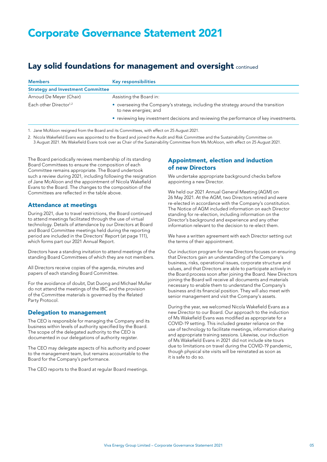## Lay solid foundations for management and oversight continued

| <b>Members</b>                           | <b>Key responsibilities</b>                                                                               |  |
|------------------------------------------|-----------------------------------------------------------------------------------------------------------|--|
| <b>Strategy and Investment Committee</b> |                                                                                                           |  |
| Arnoud De Meyer (Chair)                  | Assisting the Board in:                                                                                   |  |
| Each other Director <sup>1,2</sup>       | • overseeing the Company's strategy, including the strategy around the transition<br>to new energies; and |  |
|                                          | • reviewing key investment decisions and reviewing the performance of key investments.                    |  |

1. Jane McAloon resigned from the Board and its Committees, with effect on 25 August 2021.

2. Nicola Wakefield Evans was appointed to the Board and joined the Audit and Risk Committee and the Sustainability Committee on 3 August 2021. Ms Wakefield Evans took over as Chair of the Sustainability Committee from Ms McAloon, with effect on 25 August 2021.

The Board periodically reviews membership of its standing Board Committees to ensure the composition of each Committee remains appropriate. The Board undertook such a review during 2021, including following the resignation of Jane McAloon and the appointment of Nicola Wakefield Evans to the Board. The changes to the composition of the Committees are reflected in the table above.

### Attendance at meetings

During 2021, due to travel restrictions, the Board continued to attend meetings facilitated through the use of virtual technology. Details of attendance by our Directors at Board and Board Committee meetings held during the reporting period are included in the Directors' Report (at page 111), which forms part our 2021 Annual Report.

Directors have a standing invitation to attend meetings of the standing Board Committees of which they are not members.

All Directors receive copies of the agenda, minutes and papers of each standing Board Committee.

For the avoidance of doubt, Dat Duong and Michael Muller do not attend the meetings of the IBC and the provision of the Committee materials is governed by the Related Party Protocol.

#### Delegation to management

The CEO is responsible for managing the Company and its business within levels of authority specified by the Board. The scope of the delegated authority to the CEO is documented in our delegations of authority register.

The CEO may delegate aspects of his authority and power to the management team, but remains accountable to the Board for the Company's performance.

The CEO reports to the Board at regular Board meetings.

### Appointment, election and induction of new Directors

We undertake appropriate background checks before appointing a new Director.

We held our 2021 Annual General Meeting (AGM) on 26 May 2021. At the AGM, two Directors retired and were re-elected in accordance with the Company's constitution. The Notice of AGM included information on each Director standing for re-election, including information on the Director's background and experience and any other information relevant to the decision to re-elect them.

We have a written agreement with each Director setting out the terms of their appointment.

Our induction program for new Directors focuses on ensuring that Directors gain an understanding of the Company's business, risks, operational issues, corporate structure and values, and that Directors are able to participate actively in the Board process soon after joining the Board. New Directors joining the Board will receive all documents and materials necessary to enable them to understand the Company's business and its financial position. They will also meet with senior management and visit the Company's assets.

During the year, we welcomed Nicola Wakefield Evans as a new Director to our Board. Our approach to the induction of Ms Wakefield Evans was modified as appropriate for a COVID-19 setting. This included greater reliance on the use of technology to facilitate meetings, information sharing and appropriate training sessions. Likewise, our induction of Ms Wakefield Evans in 2021 did not include site tours due to limitations on travel during the COVID-19 pandemic, though physical site visits will be reinstated as soon as it is safe to do so.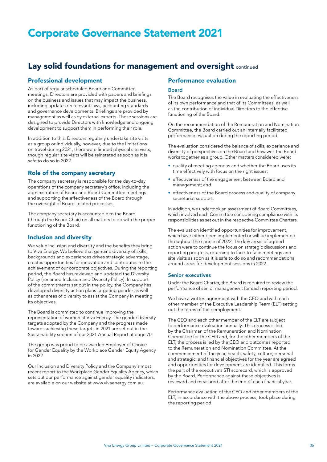### Lay solid foundations for management and oversight continued

### Professional development

As part of regular scheduled Board and Committee meetings, Directors are provided with papers and briefings on the business and issues that may impact the business, including updates on relevant laws, accounting standards and governance developments. Briefings are provided by management as well as by external experts. These sessions are designed to provide Directors with knowledge and ongoing development to support them in performing their role.

In addition to this, Directors regularly undertake site visits as a group or individually, however, due to the limitations on travel during 2021, there were limited physical site visits, though regular site visits will be reinstated as soon as it is safe to do so in 2022.

### Role of the company secretary

The company secretary is responsible for the day-to-day operations of the company secretary's office, including the administration of Board and Board Committee meetings and supporting the effectiveness of the Board through the oversight of Board-related processes.

The company secretary is accountable to the Board (through the Board Chair) on all matters to do with the proper functioning of the Board.

#### Inclusion and diversity

We value inclusion and diversity and the benefits they bring to Viva Energy. We believe that genuine diversity of skills, backgrounds and experiences drives strategic advantage, creates opportunities for innovation and contributes to the achievement of our corporate objectives. During the reporting period, the Board has reviewed and updated the Diversity Policy (renamed Inclusion and Diversity Policy). In support of the commitments set out in the policy, the Company has developed diversity action plans targeting gender as well as other areas of diversity to assist the Company in meeting its objectives.

The Board is committed to continue improving the representation of women at Viva Energy. The gender diversity targets adopted by the Company and the progress made towards achieving these targets in 2021 are set out in the Sustainability section of our 2021 Annual Report at page 70.

The group was proud to be awarded Employer of Choice for Gender Equality by the Workplace Gender Equity Agency in 2022.

Our Inclusion and Diversity Policy and the Company's most recent report to the Workplace Gender Equality Agency, which sets out our performance against gender equality indicators, are available on our website at [www.vivaenergy.com.au](https://www.vivaenergy.com.au/).

### Performance evaluation

#### Board

The Board recognises the value in evaluating the effectiveness of its own performance and that of its Committees, as well as the contribution of individual Directors to the effective functioning of the Board.

On the recommendation of the Remuneration and Nomination Committee, the Board carried out an internally facilitated performance evaluation during the reporting period.

The evaluation considered the balance of skills, experience and diversity of perspectives on the Board and how well the Board works together as a group. Other matters considered were:

- quality of meeting agendas and whether the Board uses its time effectively with focus on the right issues;
- effectiveness of the engagement between Board and management; and
- effectiveness of the Board process and quality of company secretariat support.

In addition, we undertook an assessment of Board Committees, which involved each Committee considering compliance with its responsibilities as set out in the respective Committee Charters.

The evaluation identified opportunities for improvement, which have either been implemented or will be implemented throughout the course of 2022. The key areas of agreed action were to continue the focus on strategic discussions and reporting progress, returning to face-to-face meetings and site visits as soon as it is safe to do so and recommendations around areas for development sessions in 2022.

#### Senior executives

Under the Board Charter, the Board is required to review the performance of senior management for each reporting period.

We have a written agreement with the CEO and with each other member of the Executive Leadership Team (ELT) setting out the terms of their employment.

The CEO and each other member of the ELT are subject to performance evaluation annually. This process is led by the Chairman of the Remuneration and Nomination Committee for the CEO and, for the other members of the ELT, the process is led by the CEO and outcomes reported to the Remuneration and Nomination Committee. At the commencement of the year, health, safety, culture, personal and strategic, and financial objectives for the year are agreed and opportunities for development are identified. This forms the part of the executive's STI scorecard, which is approved by the Board. Performance against these objectives is reviewed and measured after the end of each financial year.

Performance evaluation of the CEO and other members of the ELT, in accordance with the above process, took place during the reporting period.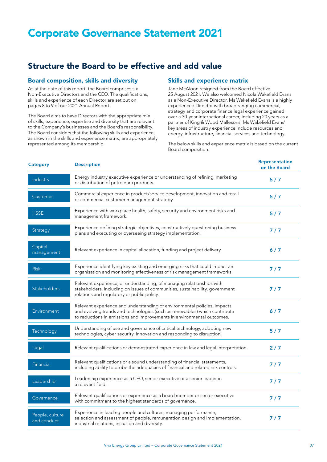## Structure the Board to be effective and add value

### Board composition, skills and diversity

As at the date of this report, the Board comprises six Non-Executive Directors and the CEO. The qualifications, skills and experience of each Director are set out on pages 8 to 9 of our 2021 Annual Report.

The Board aims to have Directors with the appropriate mix of skills, experience, expertise and diversity that are relevant to the Company's businesses and the Board's responsibility. The Board considers that the following skills and experience, as shown in the skills and experience matrix, are appropriately represented among its membership.

### Skills and experience matrix

Jane McAloon resigned from the Board effective 25 August 2021. We also welcomed Nicola Wakefield Evans as a Non-Executive Director. Ms Wakefield Evans is a highly experienced Director with broad ranging commercial, strategy and corporate finance legal experience gained over a 30-year international career, including 20 years as a partner of King & Wood Mallesons. Ms Wakefield Evans' key areas of industry experience include resources and energy, infrastructure, financial services and technology.

The below skills and experience matrix is based on the current Board composition.

| <b>Category</b>                | <b>Description</b>                                                                                                                                                                                                               | Representation<br>on the Board |
|--------------------------------|----------------------------------------------------------------------------------------------------------------------------------------------------------------------------------------------------------------------------------|--------------------------------|
| Industry                       | Energy industry executive experience or understanding of refining, marketing<br>or distribution of petroleum products.                                                                                                           | 5/7                            |
| Customer                       | Commercial experience in product/service development, innovation and retail<br>or commercial customer management strategy.                                                                                                       | 5/7                            |
| <b>HSSE</b>                    | Experience with workplace health, safety, security and environment risks and<br>management framework.                                                                                                                            | 5/7                            |
| Strategy                       | Experience defining strategic objectives, constructively questioning business<br>plans and executing or overseeing strategy implementation.                                                                                      | 7/7                            |
| Capital<br>management          | Relevant experience in capital allocation, funding and project delivery.                                                                                                                                                         | $6/7$                          |
| <b>Risk</b>                    | Experience identifying key existing and emerging risks that could impact an<br>organisation and monitoring effectiveness of risk management frameworks.                                                                          | 7/7                            |
| Stakeholders                   | Relevant experience, or understanding, of managing relationships with<br>stakeholders, including on issues of communities, sustainability, government<br>relations and regulatory or public policy.                              | 7 / 7                          |
| Environment                    | Relevant experience and understanding of environmental policies, impacts<br>and evolving trends and technologies (such as renewables) which contribute<br>to reductions in emissions and improvements in environmental outcomes. | 6/7                            |
| Technology                     | Understanding of use and governance of critical technology, adopting new<br>technologies, cyber security, innovation and responding to disruption.                                                                               | 5/7                            |
| Legal                          | Relevant qualifications or demonstrated experience in law and legal interpretation.                                                                                                                                              | 2/7                            |
| Financial                      | Relevant qualifications or a sound understanding of financial statements,<br>including ability to probe the adequacies of financial and related risk controls.                                                                   | $7/7$                          |
| Leadership                     | Leadership experience as a CEO, senior executive or a senior leader in<br>a relevant field.                                                                                                                                      | 7/7                            |
| Governance                     | Relevant qualifications or experience as a board member or senior executive<br>with commitment to the highest standards of governance.                                                                                           | 7/7                            |
| People, culture<br>and conduct | Experience in leading people and cultures, managing performance,<br>selection and assessment of people, remuneration design and implementation,<br>industrial relations, inclusion and diversity.                                | 7 / 7                          |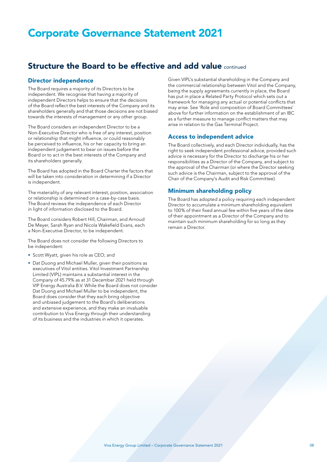### Structure the Board to be effective and add value continued

### Director independence

The Board requires a majority of its Directors to be independent. We recognise that having a majority of independent Directors helps to ensure that the decisions of the Board reflect the best interests of the Company and its shareholders generally and that those decisions are not biased towards the interests of management or any other group.

The Board considers an independent Director to be a Non-Executive Director who is free of any interest, position or relationship that might influence, or could reasonably be perceived to influence, his or her capacity to bring an independent judgement to bear on issues before the Board or to act in the best interests of the Company and its shareholders generally.

The Board has adopted in the Board Charter the factors that will be taken into consideration in determining if a Director is independent.

The materiality of any relevant interest, position, association or relationship is determined on a case-by-case basis. The Board reviews the independence of each Director in light of information disclosed to the Board.

The Board considers Robert Hill, Chairman, and Arnoud De Meyer, Sarah Ryan and Nicola Wakefield Evans, each a Non-Executive Director, to be independent.

The Board does not consider the following Directors to be independent:

- Scott Wyatt, given his role as CEO; and
- Dat Duong and Michael Muller, given their positions as executives of Vitol entities. Vitol Investment Partnership Limited (VIPL) maintains a substantial interest in the Company of 45.79% as at 31 December 2021 held through VIP Energy Australia B.V. While the Board does not consider Dat Duong and Michael Muller to be independent, the Board does consider that they each bring objective and unbiased judgement to the Board's deliberations and extensive experience, and they make an invaluable contribution to Viva Energy through their understanding of its business and the industries in which it operates.

Given VIPL's substantial shareholding in the Company and the commercial relationship between Vitol and the Company, being the supply agreements currently in place, the Board has put in place a Related Party Protocol which sets out a framework for managing any actual or potential conflicts that may arise. See 'Role and composition of Board Committees' above for further information on the establishment of an IBC as a further measure to manage conflict matters that may arise in relation to the Gas Terminal Project.

### Access to independent advice

The Board collectively, and each Director individually, has the right to seek independent professional advice, provided such advice is necessary for the Director to discharge his or her responsibilities as a Director of the Company, and subject to the approval of the Chairman (or where the Director seeking such advice is the Chairman, subject to the approval of the Chair of the Company's Audit and Risk Committee).

### Minimum shareholding policy

The Board has adopted a policy requiring each independent Director to accumulate a minimum shareholding equivalent to 100% of their fixed annual fee within five years of the date of their appointment as a Director of the Company and to maintain such minimum shareholding for so long as they remain a Director.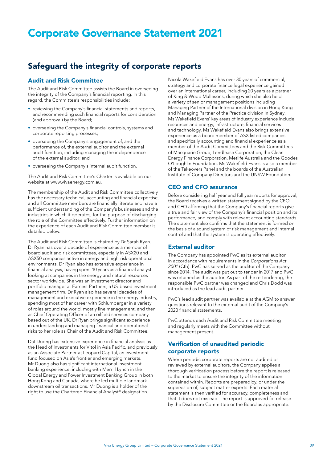## Safeguard the integrity of corporate reports

### Audit and Risk Committee

The Audit and Risk Committee assists the Board in overseeing the integrity of the Company's financial reporting. In this regard, the Committee's responsibilities include:

- reviewing the Company's financial statements and reports, and recommending such financial reports for consideration (and approval) by the Board;
- overseeing the Company's financial controls, systems and corporate reporting processes;
- overseeing the Company's engagement of, and the performance of, the external auditor and the external audit function, including managing the independence of the external auditor; and
- overseeing the Company's internal audit function.

The Audit and Risk Committee's Charter is available on our website at [www.vivaenergy.com.au](https://www.vivaenergy.com.au/).

The membership of the Audit and Risk Committee collectively has the necessary technical, accounting and financial expertise, and all Committee members are financially literate and have a sufficient understanding of the Company's businesses and the industries in which it operates, for the purpose of discharging the role of the Committee effectively. Further information on the experience of each Audit and Risk Committee member is detailed below.

The Audit and Risk Committee is chaired by Dr Sarah Ryan. Dr Ryan has over a decade of experience as a member of board audit and risk committees, especially in ASX20 and ASX50 companies active in energy and high-risk operational environments. Dr Ryan also has extensive experience in financial analysis, having spent 10 years as a financial analyst looking at companies in the energy and natural resources sector worldwide. She was an investment director and portfolio manager at Earnest Partners, a US-based investment management firm. Dr Ryan also has several decades of management and executive experience in the energy industry, spending most of her career with Schlumberger in a variety of roles around the world, mostly line management, and then as Chief Operating Officer of an oilfield services company based out of the UK. Dr Ryan brings significant experience in understanding and managing financial and operational risks to her role as Chair of the Audit and Risk Committee.

Dat Duong has extensive experience in financial analysis as the Head of Investments for Vitol in Asia Pacific, and previously as an Associate Partner at Leopard Capital, an investment fund focused on Asia's frontier and emerging markets. Mr Duong also has significant international investment banking experience, including with Merrill Lynch in the Global Energy and Power Investment Banking Group in both Hong Kong and Canada, where he led multiple landmark downstream oil transactions. Mr Duong is a holder of the right to use the Chartered Financial Analyst® designation.

Nicola Wakefield Evans has over 30 years of commercial, strategy and corporate finance legal experience gained over an international career, including 20 years as a partner of King & Wood Mallesons, during which she also held a variety of senior management positions including Managing Partner of the International division in Hong Kong and Managing Partner of the Practice division in Sydney. Ms Wakefield Evans' key areas of industry experience include resources and energy, infrastructure, financial services and technology. Ms Wakefield Evans also brings extensive experience as a board member of ASX listed companies and specifically accounting and financial experience as a member of the Audit Committees and the Risk Committees of Macquarie Group, Lendlease Corporation, the Clean Energy Finance Corporation, Metlife Australia and the Goodes O'Loughlin Foundation. Ms Wakefield Evans is also a member of the Takeovers Panel and the boards of the Australian Institute of Company Directors and the UNSW Foundation.

### CEO and CFO assurance

Before considering half year and full year reports for approval, the Board receives a written statement signed by the CEO and CFO affirming that the Company's financial reports give a true and fair view of the Company's financial position and its performance, and comply with relevant accounting standards. The statement also confirms that the statement is formed on the basis of a sound system of risk management and internal control and that the system is operating effectively.

#### External auditor

The Company has appointed PwC as its external auditor, in accordance with requirements in the *Corporations Act 2001* (Cth). PwC has served as the auditor of the Company since 2014. The audit was put out to tender in 2017 and PwC was retained as the auditor. As part of the re-tendering, the responsible PwC partner was changed and Chris Dodd was introduced as the lead audit partner.

PwC's lead audit partner was available at the AGM to answer questions relevant to the external audit of the Company's 2020 financial statements.

PwC attends each Audit and Risk Committee meeting and regularly meets with the Committee without management present.

### Verification of unaudited periodic corporate reports

Where periodic corporate reports are not audited or reviewed by external auditors, the Company applies a thorough verification process before the report is released to the market to ensure the integrity of the information contained within. Reports are prepared by, or under the supervision of, subject matter experts. Each material statement is then verified for accuracy, completeness and that it does not mislead. The report is approved for release by the Disclosure Committee or the Board as appropriate.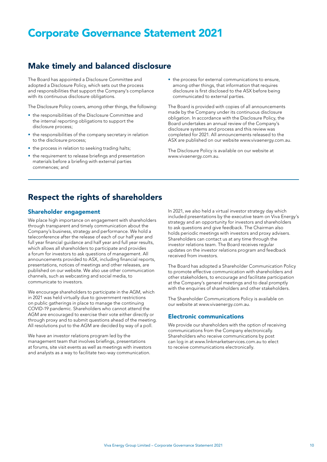## Make timely and balanced disclosure

The Board has appointed a Disclosure Committee and adopted a Disclosure Policy, which sets out the process and responsibilities that support the Company's compliance with its continuous disclosure obligations.

The Disclosure Policy covers, among other things, the following:

- the responsibilities of the Disclosure Committee and the internal reporting obligations to support the disclosure process;
- the responsibilities of the company secretary in relation to the disclosure process;
- the process in relation to seeking trading halts;
- the requirement to release briefings and presentation materials before a briefing with external parties commences; and

• the process for external communications to ensure, among other things, that information that requires disclosure is first disclosed to the ASX before being communicated to external parties.

The Board is provided with copies of all announcements made by the Company under its continuous disclosure obligation. In accordance with the Disclosure Policy, the Board undertakes an annual review of the Company's disclosure systems and process and this review was completed for 2021. All announcements released to the ASX are published on our website [www.vivaenergy.com.au](https://www.vivaenergy.com.au/).

The Disclosure Policy is available on our website at [www.vivaenergy.com.au](https://www.vivaenergy.com.au/).

### Respect the rights of shareholders

#### Shareholder engagement

We place high importance on engagement with shareholders through transparent and timely communication about the Company's business, strategy and performance. We hold a teleconference after the release of each of our half year and full year financial guidance and half year and full year results, which allows all shareholders to participate and provides a forum for investors to ask questions of management. All announcements provided to ASX, including financial reports, presentations, notices of meetings and other releases, are published on our website. We also use other communication channels, such as webcasting and social media, to communicate to investors.

We encourage shareholders to participate in the AGM, which in 2021 was held virtually due to government restrictions on public gatherings in place to manage the continuing COVID-19 pandemic. Shareholders who cannot attend the AGM are encouraged to exercise their vote either directly or through proxy and to submit questions ahead of the meeting. All resolutions put to the AGM are decided by way of a poll.

We have an investor relations program led by the management team that involves briefings, presentations at forums, site visit events as well as meetings with investors and analysts as a way to facilitate two-way communication.

In 2021, we also held a virtual investor strategy day which included presentations by the executive team on Viva Energy's strategy and an opportunity for investors and shareholders to ask questions and give feedback. The Chairman also holds periodic meetings with investors and proxy advisers. Shareholders can contact us at any time through the investor relations team. The Board receives regular updates on the investor relations program and feedback received from investors.

The Board has adopted a Shareholder Communication Policy to promote effective communication with shareholders and other stakeholders, to encourage and facilitate participation at the Company's general meetings and to deal promptly with the enquiries of shareholders and other stakeholders.

The Shareholder Communications Policy is available on our website at [www.vivaenergy.com.au](https://www.vivaenergy.com.au/).

#### Electronic communications

We provide our shareholders with the option of receiving communications from the Company electronically. Shareholders who receive communications by post can log in at [www.linkmarketservices.com.au](https://www.linkmarketservices.com.au/) to elect to receive communications electronically.